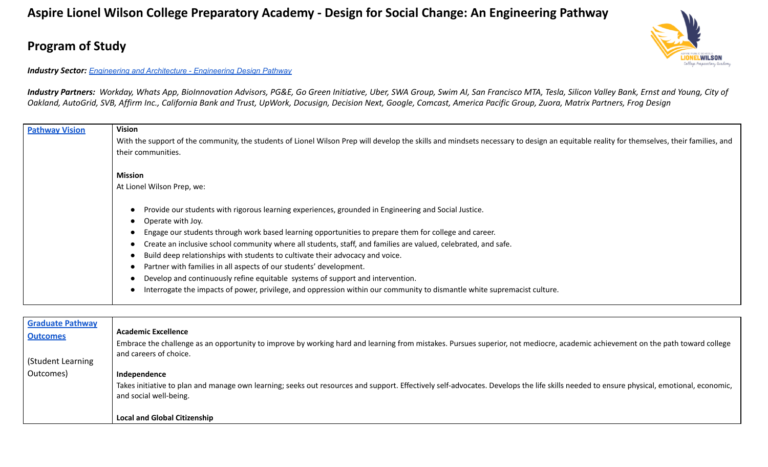## **Aspire Lionel Wilson College Preparatory Academy - Design for Social Change: An Engineering Pathway**

## **Program of Study**

## WILSON

## *Industry Sector: Engineering and Architecture - [Engineering](https://www.cde.ca.gov/ci/ct/sf/documents/enginearchit.pdf) Design Pathway*

*Industry Partners: Workday, Whats App, BioInnovation Advisors, PG&E, Go Green Initiative, Uber, SWA Group, Swim AI, San Francisco MTA, Tesla, Silicon Valley Bank, Ernst and Young, City of Oakland, AutoGrid, SVB, Affirm Inc., California Bank and Trust, UpWork, Docusign, Decision Next, Google, Comcast, America Pacific Group, Zuora, Matrix Partners, Frog Design*

| <b>Pathway Vision</b> | <b>Vision</b>                                                                                                                                                                           |
|-----------------------|-----------------------------------------------------------------------------------------------------------------------------------------------------------------------------------------|
|                       | With the support of the community, the students of Lionel Wilson Prep will develop the skills and mindsets necessary to design an equitable reality for themselves, their families, and |
|                       | their communities.                                                                                                                                                                      |
|                       |                                                                                                                                                                                         |
|                       |                                                                                                                                                                                         |
|                       | Mission                                                                                                                                                                                 |
|                       | At Lionel Wilson Prep, we:                                                                                                                                                              |
|                       |                                                                                                                                                                                         |
|                       | Provide our students with rigorous learning experiences, grounded in Engineering and Social Justice.                                                                                    |
|                       | Operate with Joy.<br>$\bullet$                                                                                                                                                          |
|                       |                                                                                                                                                                                         |
|                       | Engage our students through work based learning opportunities to prepare them for college and career.                                                                                   |
|                       | Create an inclusive school community where all students, staff, and families are valued, celebrated, and safe.                                                                          |
|                       | Build deep relationships with students to cultivate their advocacy and voice.                                                                                                           |
|                       | Partner with families in all aspects of our students' development.                                                                                                                      |
|                       | Develop and continuously refine equitable systems of support and intervention.                                                                                                          |
|                       | Interrogate the impacts of power, privilege, and oppression within our community to dismantle white supremacist culture.                                                                |
|                       |                                                                                                                                                                                         |
|                       |                                                                                                                                                                                         |

| <b>Graduate Pathway</b> |                                                                                                                                                                                                                   |
|-------------------------|-------------------------------------------------------------------------------------------------------------------------------------------------------------------------------------------------------------------|
| <b>Outcomes</b>         | <b>Academic Excellence</b>                                                                                                                                                                                        |
|                         | Embrace the challenge as an opportunity to improve by working hard and learning from mistakes. Pursues superior, not mediocre, academic achievement on the path toward college                                    |
|                         | and careers of choice.                                                                                                                                                                                            |
| (Student Learning       |                                                                                                                                                                                                                   |
| Outcomes)               | Independence                                                                                                                                                                                                      |
|                         | Takes initiative to plan and manage own learning; seeks out resources and support. Effectively self-advocates. Develops the life skills needed to ensure physical, emotional, economic,<br>and social well-being. |
|                         | <b>Local and Global Citizenship</b>                                                                                                                                                                               |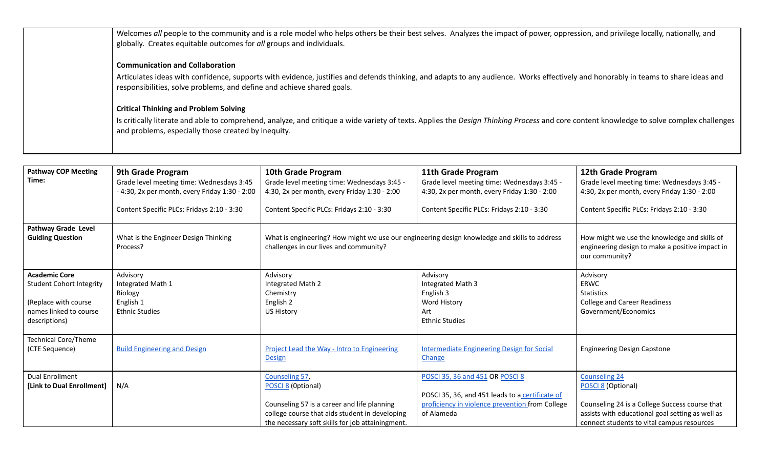| Welcomes all people to the community and is a role model who helps others be their best selves. Analyzes the impact of power, oppression, and privilege locally, nationally, and<br>globally. Creates equitable outcomes for all groups and individuals.                                               |
|--------------------------------------------------------------------------------------------------------------------------------------------------------------------------------------------------------------------------------------------------------------------------------------------------------|
| <b>Communication and Collaboration</b><br>Articulates ideas with confidence, supports with evidence, justifies and defends thinking, and adapts to any audience. Works effectively and honorably in teams to share ideas and<br>responsibilities, solve problems, and define and achieve shared goals. |
| <b>Critical Thinking and Problem Solving</b><br>Is critically literate and able to comprehend, analyze, and critique a wide variety of texts. Applies the Design Thinking Process and core content knowledge to solve complex challenges<br>and problems, especially those created by inequity.        |

| <b>Pathway COP Meeting</b>              | 9th Grade Program                                | 10th Grade Program                                                                                                                     | 11th Grade Program                                | 12th Grade Program                                                                                                |
|-----------------------------------------|--------------------------------------------------|----------------------------------------------------------------------------------------------------------------------------------------|---------------------------------------------------|-------------------------------------------------------------------------------------------------------------------|
| Time:                                   | Grade level meeting time: Wednesdays 3:45        | Grade level meeting time: Wednesdays 3:45 -                                                                                            | Grade level meeting time: Wednesdays 3:45 -       | Grade level meeting time: Wednesdays 3:45 -                                                                       |
|                                         | - 4:30, 2x per month, every Friday 1:30 - 2:00   | 4:30, 2x per month, every Friday 1:30 - 2:00                                                                                           | 4:30, 2x per month, every Friday 1:30 - 2:00      | 4:30, 2x per month, every Friday 1:30 - 2:00                                                                      |
|                                         | Content Specific PLCs: Fridays 2:10 - 3:30       | Content Specific PLCs: Fridays 2:10 - 3:30                                                                                             | Content Specific PLCs: Fridays 2:10 - 3:30        | Content Specific PLCs: Fridays 2:10 - 3:30                                                                        |
| Pathway Grade Level                     |                                                  |                                                                                                                                        |                                                   |                                                                                                                   |
| <b>Guiding Question</b>                 | What is the Engineer Design Thinking<br>Process? | What is engineering? How might we use our engineering design knowledge and skills to address<br>challenges in our lives and community? |                                                   | How might we use the knowledge and skills of<br>engineering design to make a positive impact in<br>our community? |
| <b>Academic Core</b>                    | Advisory                                         | Advisory                                                                                                                               | Advisory                                          | Advisory                                                                                                          |
| <b>Student Cohort Integrity</b>         | Integrated Math 1                                | Integrated Math 2                                                                                                                      | Integrated Math 3                                 | ERWC                                                                                                              |
|                                         | Biology                                          | Chemistry                                                                                                                              | English 3                                         | <b>Statistics</b>                                                                                                 |
| (Replace with course                    | English 1                                        | English 2                                                                                                                              | Word History                                      | <b>College and Career Readiness</b>                                                                               |
| names linked to course<br>descriptions) | <b>Ethnic Studies</b>                            | US History                                                                                                                             | Art<br><b>Ethnic Studies</b>                      | Government/Economics                                                                                              |
|                                         |                                                  |                                                                                                                                        |                                                   |                                                                                                                   |
| <b>Technical Core/Theme</b>             |                                                  |                                                                                                                                        |                                                   |                                                                                                                   |
| (CTE Sequence)                          | <b>Build Engineering and Design</b>              | Project Lead the Way - Intro to Engineering                                                                                            | <b>Intermediate Engineering Design for Social</b> | <b>Engineering Design Capstone</b>                                                                                |
|                                         |                                                  | <b>Design</b>                                                                                                                          | Change                                            |                                                                                                                   |
| <b>Dual Enrollment</b>                  |                                                  | Counseling 57                                                                                                                          | POSCI 35, 36 and 451 OR POSCI 8                   | <b>Counseling 24</b>                                                                                              |
| [Link to Dual Enrollment]               | N/A                                              | POSCI 8 (Optional)                                                                                                                     |                                                   | POSCI 8 (Optional)                                                                                                |
|                                         |                                                  |                                                                                                                                        | POSCI 35, 36, and 451 leads to a certificate of   |                                                                                                                   |
|                                         |                                                  | Counseling 57 is a career and life planning                                                                                            | proficiency in violence prevention from College   | Counseling 24 is a College Success course that                                                                    |
|                                         |                                                  | college course that aids student in developing                                                                                         | of Alameda                                        | assists with educational goal setting as well as                                                                  |
|                                         |                                                  | the necessary soft skills for job attainingment.                                                                                       |                                                   | connect students to vital campus resources                                                                        |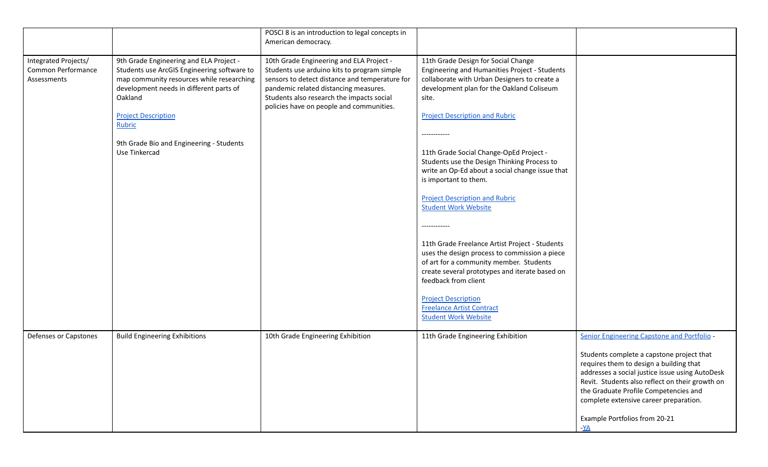|                                                           |                                                                                                                                                                                                                                                                                                | POSCI 8 is an introduction to legal concepts in<br>American democracy.                                                                                                                                                                                                      |                                                                                                                                                                                                                                                                                                                                                                                                                                                                                                                                                                                                                                                                                                                                                                                                                                           |                                                                                                                                                                                                                                                                                                                                                                        |
|-----------------------------------------------------------|------------------------------------------------------------------------------------------------------------------------------------------------------------------------------------------------------------------------------------------------------------------------------------------------|-----------------------------------------------------------------------------------------------------------------------------------------------------------------------------------------------------------------------------------------------------------------------------|-------------------------------------------------------------------------------------------------------------------------------------------------------------------------------------------------------------------------------------------------------------------------------------------------------------------------------------------------------------------------------------------------------------------------------------------------------------------------------------------------------------------------------------------------------------------------------------------------------------------------------------------------------------------------------------------------------------------------------------------------------------------------------------------------------------------------------------------|------------------------------------------------------------------------------------------------------------------------------------------------------------------------------------------------------------------------------------------------------------------------------------------------------------------------------------------------------------------------|
| Integrated Projects/<br>Common Performance<br>Assessments | 9th Grade Engineering and ELA Project -<br>Students use ArcGIS Engineering software to<br>map community resources while researching<br>development needs in different parts of<br>Oakland<br><b>Project Description</b><br>Rubric<br>9th Grade Bio and Engineering - Students<br>Use Tinkercad | 10th Grade Engineering and ELA Project -<br>Students use arduino kits to program simple<br>sensors to detect distance and temperature for<br>pandemic related distancing measures.<br>Students also research the impacts social<br>policies have on people and communities. | 11th Grade Design for Social Change<br>Engineering and Humanities Project - Students<br>collaborate with Urban Designers to create a<br>development plan for the Oakland Coliseum<br>site.<br><b>Project Description and Rubric</b><br>-----------<br>11th Grade Social Change-OpEd Project -<br>Students use the Design Thinking Process to<br>write an Op-Ed about a social change issue that<br>is important to them.<br><b>Project Description and Rubric</b><br><b>Student Work Website</b><br>------------<br>11th Grade Freelance Artist Project - Students<br>uses the design process to commission a piece<br>of art for a community member. Students<br>create several prototypes and iterate based on<br>feedback from client<br><b>Project Description</b><br><b>Freelance Artist Contract</b><br><b>Student Work Website</b> |                                                                                                                                                                                                                                                                                                                                                                        |
| Defenses or Capstones                                     | <b>Build Engineering Exhibitions</b>                                                                                                                                                                                                                                                           | 10th Grade Engineering Exhibition                                                                                                                                                                                                                                           | 11th Grade Engineering Exhibition                                                                                                                                                                                                                                                                                                                                                                                                                                                                                                                                                                                                                                                                                                                                                                                                         | Senior Engineering Capstone and Portfolio -<br>Students complete a capstone project that<br>requires them to design a building that<br>addresses a social justice issue using AutoDesk<br>Revit. Students also reflect on their growth on<br>the Graduate Profile Competencies and<br>complete extensive career preparation.<br>Example Portfolios from 20-21<br>$-XA$ |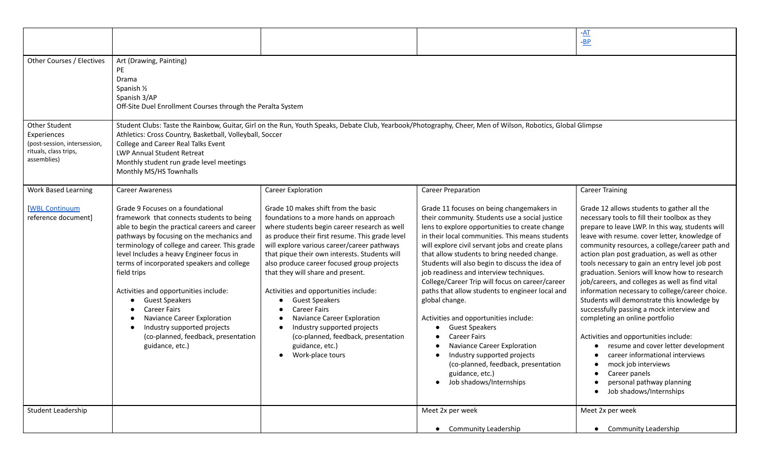|                                                                                                                                                                                                                                                                                                                                                                                                                                                                                                                                                                                                              |                                                                                                                                                                                                                                                                                                                                                                                                                                                                                                                                                                                                           |                                                                                                                                                                                                                                                                                                                                                                                                                                                                                                                                                                                                                                                                                                                                                                         | $-AT$<br>$-BP$                                                                                                                                                                                                                                                                                                                                                                                                                                                                                                                                                                                                                                                                                                                                                                                                                                                 |
|--------------------------------------------------------------------------------------------------------------------------------------------------------------------------------------------------------------------------------------------------------------------------------------------------------------------------------------------------------------------------------------------------------------------------------------------------------------------------------------------------------------------------------------------------------------------------------------------------------------|-----------------------------------------------------------------------------------------------------------------------------------------------------------------------------------------------------------------------------------------------------------------------------------------------------------------------------------------------------------------------------------------------------------------------------------------------------------------------------------------------------------------------------------------------------------------------------------------------------------|-------------------------------------------------------------------------------------------------------------------------------------------------------------------------------------------------------------------------------------------------------------------------------------------------------------------------------------------------------------------------------------------------------------------------------------------------------------------------------------------------------------------------------------------------------------------------------------------------------------------------------------------------------------------------------------------------------------------------------------------------------------------------|----------------------------------------------------------------------------------------------------------------------------------------------------------------------------------------------------------------------------------------------------------------------------------------------------------------------------------------------------------------------------------------------------------------------------------------------------------------------------------------------------------------------------------------------------------------------------------------------------------------------------------------------------------------------------------------------------------------------------------------------------------------------------------------------------------------------------------------------------------------|
| Art (Drawing, Painting)<br>PE<br>Drama<br>Spanish 1/2<br>Spanish 3/AP<br>Off-Site Duel Enrollment Courses through the Peralta System                                                                                                                                                                                                                                                                                                                                                                                                                                                                         |                                                                                                                                                                                                                                                                                                                                                                                                                                                                                                                                                                                                           |                                                                                                                                                                                                                                                                                                                                                                                                                                                                                                                                                                                                                                                                                                                                                                         |                                                                                                                                                                                                                                                                                                                                                                                                                                                                                                                                                                                                                                                                                                                                                                                                                                                                |
| Student Clubs: Taste the Rainbow, Guitar, Girl on the Run, Youth Speaks, Debate Club, Yearbook/Photography, Cheer, Men of Wilson, Robotics, Global Glimpse<br>Athletics: Cross Country, Basketball, Volleyball, Soccer<br>College and Career Real Talks Event<br>LWP Annual Student Retreat<br>Monthly student run grade level meetings<br>Monthly MS/HS Townhalls                                                                                                                                                                                                                                           |                                                                                                                                                                                                                                                                                                                                                                                                                                                                                                                                                                                                           |                                                                                                                                                                                                                                                                                                                                                                                                                                                                                                                                                                                                                                                                                                                                                                         |                                                                                                                                                                                                                                                                                                                                                                                                                                                                                                                                                                                                                                                                                                                                                                                                                                                                |
| <b>Career Awareness</b>                                                                                                                                                                                                                                                                                                                                                                                                                                                                                                                                                                                      | <b>Career Exploration</b>                                                                                                                                                                                                                                                                                                                                                                                                                                                                                                                                                                                 | <b>Career Preparation</b>                                                                                                                                                                                                                                                                                                                                                                                                                                                                                                                                                                                                                                                                                                                                               | <b>Career Training</b>                                                                                                                                                                                                                                                                                                                                                                                                                                                                                                                                                                                                                                                                                                                                                                                                                                         |
| Grade 9 Focuses on a foundational<br>framework that connects students to being<br>able to begin the practical careers and career<br>pathways by focusing on the mechanics and<br>terminology of college and career. This grade<br>level Includes a heavy Engineer focus in<br>terms of incorporated speakers and college<br>field trips<br>Activities and opportunities include:<br><b>Guest Speakers</b><br>$\bullet$<br><b>Career Fairs</b><br>$\bullet$<br>Naviance Career Exploration<br>$\bullet$<br>Industry supported projects<br>$\bullet$<br>(co-planned, feedback, presentation<br>guidance, etc.) | Grade 10 makes shift from the basic<br>foundations to a more hands on approach<br>where students begin career research as well<br>as produce their first resume. This grade level<br>will explore various career/career pathways<br>that pique their own interests. Students will<br>also produce career focused group projects<br>that they will share and present.<br>Activities and opportunities include:<br><b>Guest Speakers</b><br><b>Career Fairs</b><br>Naviance Career Exploration<br>Industry supported projects<br>(co-planned, feedback, presentation<br>guidance, etc.)<br>Work-place tours | Grade 11 focuses on being changemakers in<br>their community. Students use a social justice<br>lens to explore opportunities to create change<br>in their local communities. This means students<br>will explore civil servant jobs and create plans<br>that allow students to bring needed change.<br>Students will also begin to discuss the idea of<br>job readiness and interview techniques.<br>College/Career Trip will focus on career/career<br>paths that allow students to engineer local and<br>global change.<br>Activities and opportunities include:<br><b>Guest Speakers</b><br><b>Career Fairs</b><br>Naviance Career Exploration<br>Industry supported projects<br>(co-planned, feedback, presentation<br>guidance, etc.)<br>• Job shadows/Internships | Grade 12 allows students to gather all the<br>necessary tools to fill their toolbox as they<br>prepare to leave LWP. In this way, students will<br>leave with resume. cover letter, knowledge of<br>community resources, a college/career path and<br>action plan post graduation, as well as other<br>tools necessary to gain an entry level job post<br>graduation. Seniors will know how to research<br>job/careers, and colleges as well as find vital<br>information necessary to college/career choice.<br>Students will demonstrate this knowledge by<br>successfully passing a mock interview and<br>completing an online portfolio<br>Activities and opportunities include:<br>resume and cover letter development<br>career informational interviews<br>mock job interviews<br>Career panels<br>personal pathway planning<br>Job shadows/Internships |
|                                                                                                                                                                                                                                                                                                                                                                                                                                                                                                                                                                                                              |                                                                                                                                                                                                                                                                                                                                                                                                                                                                                                                                                                                                           | Meet 2x per week                                                                                                                                                                                                                                                                                                                                                                                                                                                                                                                                                                                                                                                                                                                                                        | Meet 2x per week<br>• Community Leadership                                                                                                                                                                                                                                                                                                                                                                                                                                                                                                                                                                                                                                                                                                                                                                                                                     |
|                                                                                                                                                                                                                                                                                                                                                                                                                                                                                                                                                                                                              |                                                                                                                                                                                                                                                                                                                                                                                                                                                                                                                                                                                                           |                                                                                                                                                                                                                                                                                                                                                                                                                                                                                                                                                                                                                                                                                                                                                                         | • Community Leadership                                                                                                                                                                                                                                                                                                                                                                                                                                                                                                                                                                                                                                                                                                                                                                                                                                         |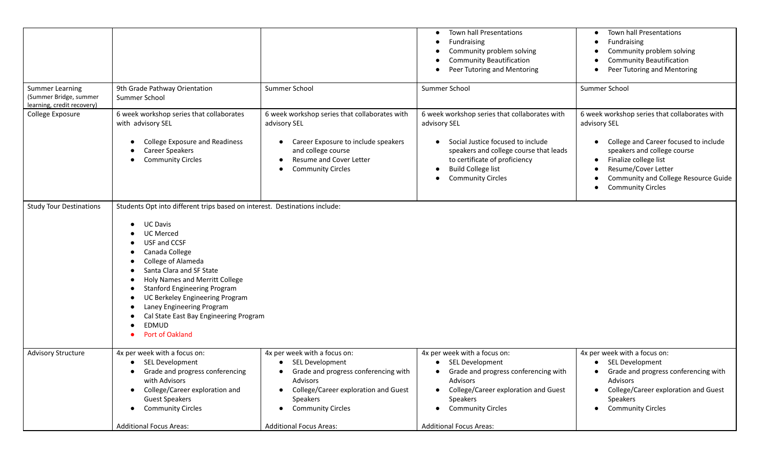|                                                                                |                                                                                                                                                                                                                                                                                                                                                                                                                                                                                                                                                                                  |                                                                                                                                                                                                                                                   | Town hall Presentations<br>$\bullet$<br>Fundraising<br>$\bullet$<br>Community problem solving<br><b>Community Beautification</b><br>Peer Tutoring and Mentoring<br>$\bullet$                                                                                     | Town hall Presentations<br>Fundraising<br>Community problem solving<br><b>Community Beautification</b><br>Peer Tutoring and Mentoring                                                                                                                     |
|--------------------------------------------------------------------------------|----------------------------------------------------------------------------------------------------------------------------------------------------------------------------------------------------------------------------------------------------------------------------------------------------------------------------------------------------------------------------------------------------------------------------------------------------------------------------------------------------------------------------------------------------------------------------------|---------------------------------------------------------------------------------------------------------------------------------------------------------------------------------------------------------------------------------------------------|------------------------------------------------------------------------------------------------------------------------------------------------------------------------------------------------------------------------------------------------------------------|-----------------------------------------------------------------------------------------------------------------------------------------------------------------------------------------------------------------------------------------------------------|
| <b>Summer Learning</b><br>(Summer Bridge, summer<br>learning, credit recovery) | 9th Grade Pathway Orientation<br>Summer School                                                                                                                                                                                                                                                                                                                                                                                                                                                                                                                                   | Summer School                                                                                                                                                                                                                                     | Summer School                                                                                                                                                                                                                                                    | Summer School                                                                                                                                                                                                                                             |
| College Exposure                                                               | 6 week workshop series that collaborates<br>with advisory SEL<br><b>College Exposure and Readiness</b><br>$\bullet$<br><b>Career Speakers</b><br>$\bullet$<br><b>Community Circles</b><br>$\bullet$                                                                                                                                                                                                                                                                                                                                                                              | 6 week workshop series that collaborates with<br>advisory SEL<br>Career Exposure to include speakers<br>and college course<br>Resume and Cover Letter<br><b>Community Circles</b>                                                                 | 6 week workshop series that collaborates with<br>advisory SEL<br>Social Justice focused to include<br>speakers and college course that leads<br>to certificate of proficiency<br><b>Build College list</b><br>$\bullet$<br><b>Community Circles</b><br>$\bullet$ | 6 week workshop series that collaborates with<br>advisory SEL<br>College and Career focused to include<br>speakers and college course<br>Finalize college list<br>Resume/Cover Letter<br>Community and College Resource Guide<br><b>Community Circles</b> |
| <b>Study Tour Destinations</b>                                                 | Students Opt into different trips based on interest. Destinations include:<br><b>UC Davis</b><br>$\bullet$<br><b>UC Merced</b><br>USF and CCSF<br>$\bullet$<br>Canada College<br>$\bullet$<br>College of Alameda<br>$\bullet$<br>Santa Clara and SF State<br>$\bullet$<br>Holy Names and Merritt College<br>$\bullet$<br><b>Stanford Engineering Program</b><br>$\bullet$<br>UC Berkeley Engineering Program<br>$\bullet$<br>Laney Engineering Program<br>$\bullet$<br>Cal State East Bay Engineering Program<br>$\bullet$<br>EDMUD<br>$\bullet$<br>Port of Oakland<br>$\bullet$ |                                                                                                                                                                                                                                                   |                                                                                                                                                                                                                                                                  |                                                                                                                                                                                                                                                           |
| <b>Advisory Structure</b>                                                      | 4x per week with a focus on:<br>• SEL Development<br>Grade and progress conferencing<br>$\bullet$<br>with Advisors<br>College/Career exploration and<br>$\bullet$<br><b>Guest Speakers</b><br><b>Community Circles</b><br>$\bullet$<br><b>Additional Focus Areas:</b>                                                                                                                                                                                                                                                                                                            | 4x per week with a focus on:<br>• SEL Development<br>Grade and progress conferencing with<br>$\bullet$<br>Advisors<br>College/Career exploration and Guest<br>Speakers<br><b>Community Circles</b><br>$\bullet$<br><b>Additional Focus Areas:</b> | 4x per week with a focus on:<br>• SEL Development<br>Grade and progress conferencing with<br>$\bullet$<br><b>Advisors</b><br>College/Career exploration and Guest<br>Speakers<br><b>Community Circles</b><br>$\bullet$<br><b>Additional Focus Areas:</b>         | 4x per week with a focus on:<br>• SEL Development<br>Grade and progress conferencing with<br>$\bullet$<br><b>Advisors</b><br>College/Career exploration and Guest<br>Speakers<br><b>Community Circles</b><br>$\bullet$                                    |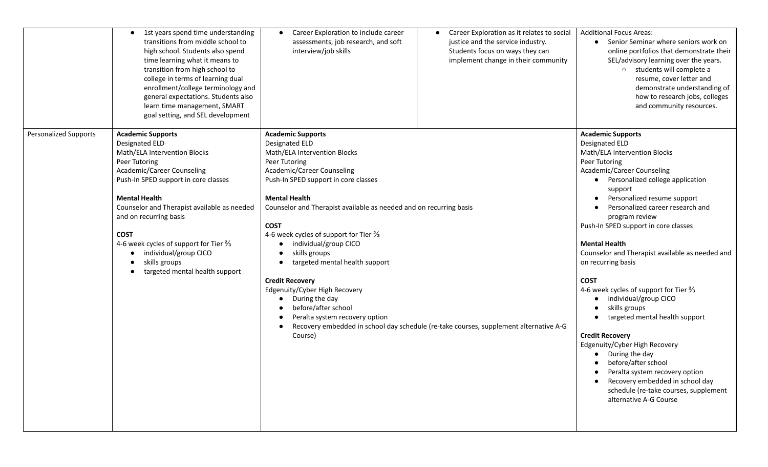|                              | • 1st years spend time understanding<br>transitions from middle school to<br>high school. Students also spend<br>time learning what it means to<br>transition from high school to<br>college in terms of learning dual<br>enrollment/college terminology and<br>general expectations. Students also<br>learn time management, SMART<br>goal setting, and SEL development                                 | Career Exploration to include career<br>$\bullet$<br>assessments, job research, and soft<br>interview/job skills                                                                                                                                                                                                                                                                                                                                                                                                                                                                      | Career Exploration as it relates to social<br>justice and the service industry.<br>Students focus on ways they can<br>implement change in their community | <b>Additional Focus Areas:</b><br>• Senior Seminar where seniors work on<br>online portfolios that demonstrate their<br>SEL/advisory learning over the years.<br>o students will complete a<br>resume, cover letter and<br>demonstrate understanding of<br>how to research jobs, colleges<br>and community resources.                                                                                                                                                                                                                                                                                                                                                                                                                                                                                       |
|------------------------------|----------------------------------------------------------------------------------------------------------------------------------------------------------------------------------------------------------------------------------------------------------------------------------------------------------------------------------------------------------------------------------------------------------|---------------------------------------------------------------------------------------------------------------------------------------------------------------------------------------------------------------------------------------------------------------------------------------------------------------------------------------------------------------------------------------------------------------------------------------------------------------------------------------------------------------------------------------------------------------------------------------|-----------------------------------------------------------------------------------------------------------------------------------------------------------|-------------------------------------------------------------------------------------------------------------------------------------------------------------------------------------------------------------------------------------------------------------------------------------------------------------------------------------------------------------------------------------------------------------------------------------------------------------------------------------------------------------------------------------------------------------------------------------------------------------------------------------------------------------------------------------------------------------------------------------------------------------------------------------------------------------|
| <b>Personalized Supports</b> | <b>Academic Supports</b><br>Designated ELD<br>Math/ELA Intervention Blocks<br>Peer Tutoring<br>Academic/Career Counseling<br>Push-In SPED support in core classes<br><b>Mental Health</b><br>Counselor and Therapist available as needed<br>and on recurring basis<br><b>COST</b><br>4-6 week cycles of support for Tier 3/3<br>individual/group CICO<br>skills groups<br>targeted mental health support | <b>Academic Supports</b><br><b>Designated ELD</b><br>Math/ELA Intervention Blocks<br>Peer Tutoring<br>Academic/Career Counseling<br>Push-In SPED support in core classes<br><b>Mental Health</b><br>Counselor and Therapist available as needed and on recurring basis<br><b>COST</b><br>4-6 week cycles of support for Tier <sup>2</sup> / <sub>3</sub><br>individual/group CICO<br>skills groups<br>targeted mental health support<br><b>Credit Recovery</b><br>Edgenuity/Cyber High Recovery<br>During the day<br>before/after school<br>Peralta system recovery option<br>Course) | Recovery embedded in school day schedule (re-take courses, supplement alternative A-G                                                                     | <b>Academic Supports</b><br><b>Designated ELD</b><br>Math/ELA Intervention Blocks<br>Peer Tutoring<br>Academic/Career Counseling<br>• Personalized college application<br>support<br>Personalized resume support<br>Personalized career research and<br>program review<br>Push-In SPED support in core classes<br><b>Mental Health</b><br>Counselor and Therapist available as needed and<br>on recurring basis<br><b>COST</b><br>4-6 week cycles of support for Tier $\frac{2}{3}$<br>individual/group CICO<br>skills groups<br>targeted mental health support<br><b>Credit Recovery</b><br>Edgenuity/Cyber High Recovery<br>During the day<br>before/after school<br>Peralta system recovery option<br>Recovery embedded in school day<br>schedule (re-take courses, supplement<br>alternative A-G Course |